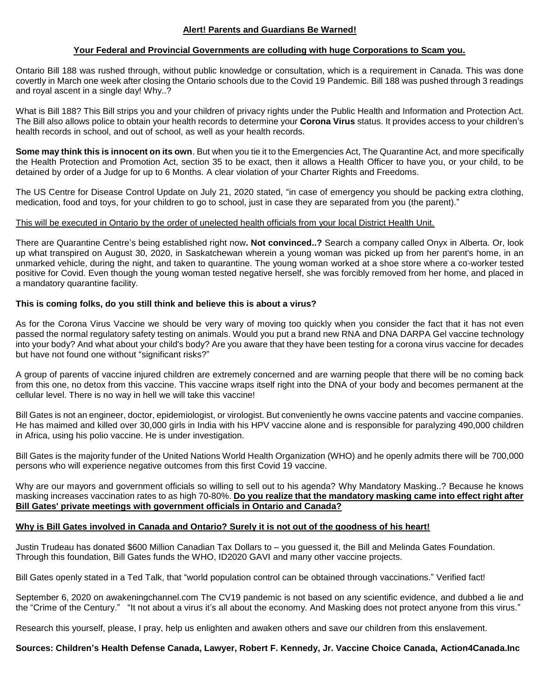# **Your Federal and Provincial Governments are colluding with huge Corporations to Scam you.**

Ontario Bill 188 was rushed through, without public knowledge or consultation, which is a requirement in Canada. This was done covertly in March one week after closing the Ontario schools due to the Covid 19 Pandemic. Bill 188 was pushed through 3 readings and royal ascent in a single day! Why..?

What is Bill 188? This Bill strips you and your children of privacy rights under the Public Health and Information and Protection Act. The Bill also allows police to obtain your health records to determine your **Corona Virus** status. It provides access to your children's health records in school, and out of school, as well as your health records.

**Some may think this is innocent on its own**. But when you tie it to the Emergencies Act, The Quarantine Act, and more specifically the Health Protection and Promotion Act, section 35 to be exact, then it allows a Health Officer to have you, or your child, to be detained by order of a Judge for up to 6 Months. A clear violation of your Charter Rights and Freedoms.

The US Centre for Disease Control Update on July 21, 2020 stated, "in case of emergency you should be packing extra clothing, medication, food and toys, for your children to go to school, just in case they are separated from you (the parent)."

## This will be executed in Ontario by the order of unelected health officials from your local District Health Unit.

There are Quarantine Centre's being established right now**. Not convinced..?** Search a company called Onyx in Alberta. Or, look up what transpired on August 30, 2020, in Saskatchewan wherein a young woman was picked up from her parent's home, in an unmarked vehicle, during the night, and taken to quarantine. The young woman worked at a shoe store where a co-worker tested positive for Covid. Even though the young woman tested negative herself, she was forcibly removed from her home, and placed in a mandatory quarantine facility.

# **This is coming folks, do you still think and believe this is about a virus?**

As for the Corona Virus Vaccine we should be very wary of moving too quickly when you consider the fact that it has not even passed the normal regulatory safety testing on animals. Would you put a brand new RNA and DNA DARPA Gel vaccine technology into your body? And what about your child's body? Are you aware that they have been testing for a corona virus vaccine for decades but have not found one without "significant risks?"

A group of parents of vaccine injured children are extremely concerned and are warning people that there will be no coming back from this one, no detox from this vaccine. This vaccine wraps itself right into the DNA of your body and becomes permanent at the cellular level. There is no way in hell we will take this vaccine!

Bill Gates is not an engineer, doctor, epidemiologist, or virologist. But conveniently he owns vaccine patents and vaccine companies. He has maimed and killed over 30,000 girls in India with his HPV vaccine alone and is responsible for paralyzing 490,000 children in Africa, using his polio vaccine. He is under investigation.

Bill Gates is the majority funder of the United Nations World Health Organization (WHO) and he openly admits there will be 700,000 persons who will experience negative outcomes from this first Covid 19 vaccine.

Why are our mayors and government officials so willing to sell out to his agenda? Why Mandatory Masking..? Because he knows masking increases vaccination rates to as high 70-80%. **Do you realize that the mandatory masking came into effect right after Bill Gates' private meetings with government officials in Ontario and Canada?**

## **Why is Bill Gates involved in Canada and Ontario? Surely it is not out of the goodness of his heart!**

Justin Trudeau has donated \$600 Million Canadian Tax Dollars to – you guessed it, the Bill and Melinda Gates Foundation. Through this foundation, Bill Gates funds the WHO, ID2020 GAVI and many other vaccine projects.

Bill Gates openly stated in a Ted Talk, that "world population control can be obtained through vaccinations." Verified fact!

September 6, 2020 on awakeningchannel.com The CV19 pandemic is not based on any scientific evidence, and dubbed a lie and the "Crime of the Century." "It not about a virus it's all about the economy. And Masking does not protect anyone from this virus."

Research this yourself, please, I pray, help us enlighten and awaken others and save our children from this enslavement.

**Sources: Children's Health Defense Canada, Lawyer, Robert F. Kennedy, Jr. Vaccine Choice Canada, Action4Canada.Inc**